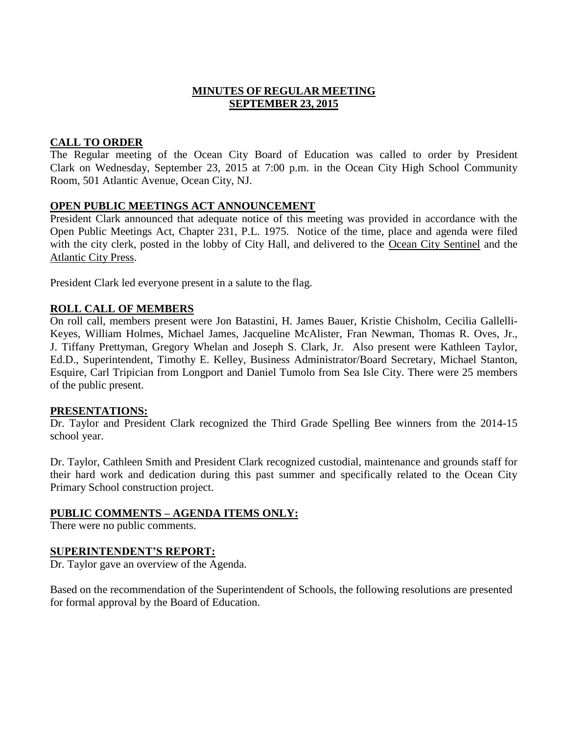### **MINUTES OF REGULAR MEETING SEPTEMBER 23, 2015**

# **CALL TO ORDER**

The Regular meeting of the Ocean City Board of Education was called to order by President Clark on Wednesday, September 23, 2015 at 7:00 p.m. in the Ocean City High School Community Room, 501 Atlantic Avenue, Ocean City, NJ.

### **OPEN PUBLIC MEETINGS ACT ANNOUNCEMENT**

President Clark announced that adequate notice of this meeting was provided in accordance with the Open Public Meetings Act, Chapter 231, P.L. 1975. Notice of the time, place and agenda were filed with the city clerk, posted in the lobby of City Hall, and delivered to the Ocean City Sentinel and the Atlantic City Press.

President Clark led everyone present in a salute to the flag.

### **ROLL CALL OF MEMBERS**

On roll call, members present were Jon Batastini, H. James Bauer, Kristie Chisholm, Cecilia Gallelli-Keyes, William Holmes, Michael James, Jacqueline McAlister, Fran Newman, Thomas R. Oves, Jr., J. Tiffany Prettyman, Gregory Whelan and Joseph S. Clark, Jr. Also present were Kathleen Taylor, Ed.D., Superintendent, Timothy E. Kelley, Business Administrator/Board Secretary, Michael Stanton, Esquire, Carl Tripician from Longport and Daniel Tumolo from Sea Isle City. There were 25 members of the public present.

### **PRESENTATIONS:**

Dr. Taylor and President Clark recognized the Third Grade Spelling Bee winners from the 2014-15 school year.

Dr. Taylor, Cathleen Smith and President Clark recognized custodial, maintenance and grounds staff for their hard work and dedication during this past summer and specifically related to the Ocean City Primary School construction project.

### **PUBLIC COMMENTS – AGENDA ITEMS ONLY:**

There were no public comments.

### **SUPERINTENDENT'S REPORT:**

Dr. Taylor gave an overview of the Agenda.

Based on the recommendation of the Superintendent of Schools, the following resolutions are presented for formal approval by the Board of Education.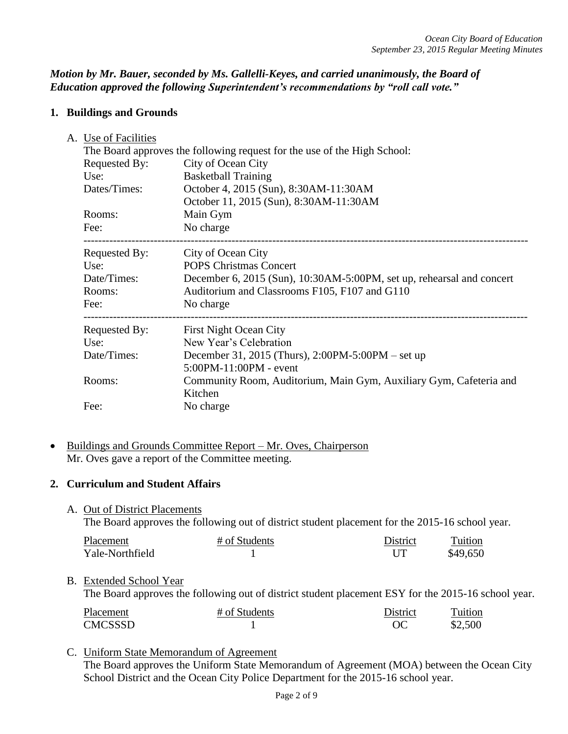# *Motion by Mr. Bauer, seconded by Ms. Gallelli-Keyes, and carried unanimously, the Board of Education approved the following Superintendent's recommendations by "roll call vote."*

# **1. Buildings and Grounds**

| A. Use of Facilities |                                                                               |
|----------------------|-------------------------------------------------------------------------------|
|                      | The Board approves the following request for the use of the High School:      |
| Requested By:        | City of Ocean City                                                            |
| Use:                 | <b>Basketball Training</b>                                                    |
| Dates/Times:         | October 4, 2015 (Sun), 8:30AM-11:30AM                                         |
|                      | October 11, 2015 (Sun), 8:30AM-11:30AM                                        |
| Rooms:               | Main Gym                                                                      |
| Fee:                 | No charge                                                                     |
| Requested By:        | City of Ocean City                                                            |
| Use:                 | <b>POPS Christmas Concert</b>                                                 |
| Date/Times:          | December 6, 2015 (Sun), 10:30AM-5:00PM, set up, rehearsal and concert         |
| Rooms:               | Auditorium and Classrooms F105, F107 and G110                                 |
| Fee:                 | No charge                                                                     |
| Requested By:        | <b>First Night Ocean City</b>                                                 |
| Use:                 | New Year's Celebration                                                        |
| Date/Times:          | December 31, 2015 (Thurs), 2:00PM-5:00PM – set up                             |
|                      | $5:00PM - 11:00PM - event$                                                    |
| Rooms:               | Community Room, Auditorium, Main Gym, Auxiliary Gym, Cafeteria and<br>Kitchen |
| Fee:                 | No charge                                                                     |
|                      |                                                                               |

• Buildings and Grounds Committee Report – Mr. Oves, Chairperson Mr. Oves gave a report of the Committee meeting.

# **2. Curriculum and Student Affairs**

A. Out of District Placements

The Board approves the following out of district student placement for the 2015-16 school year.

| Placement       | # of Students | District | Tuition  |
|-----------------|---------------|----------|----------|
| Yale-Northfield |               |          | \$49,650 |

# B. Extended School Year

The Board approves the following out of district student placement ESY for the 2015-16 school year.

| Placement | # of Students | District | Tuition |
|-----------|---------------|----------|---------|
| CMCSSSD_  |               | ОC       | \$2,500 |

# C. Uniform State Memorandum of Agreement

The Board approves the Uniform State Memorandum of Agreement (MOA) between the Ocean City School District and the Ocean City Police Department for the 2015-16 school year.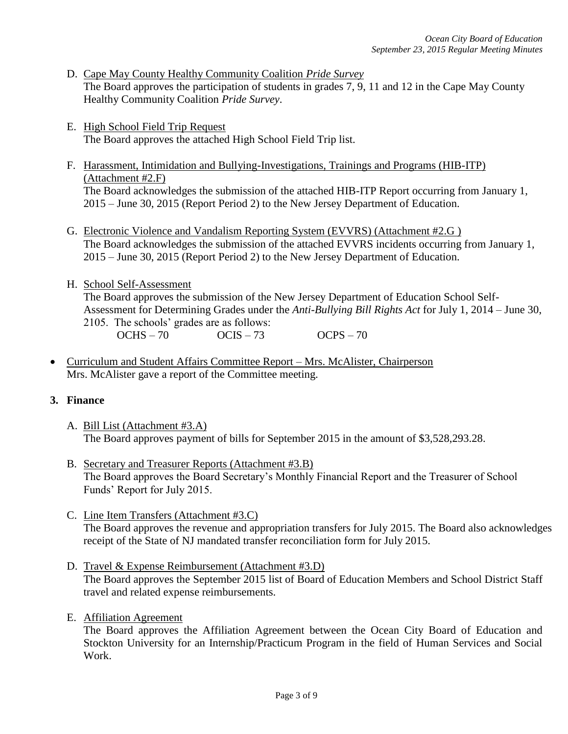- D. Cape May County Healthy Community Coalition *Pride Survey* The Board approves the participation of students in grades 7, 9, 11 and 12 in the Cape May County Healthy Community Coalition *Pride Survey*.
- E. High School Field Trip Request The Board approves the attached High School Field Trip list.
- F. Harassment, Intimidation and Bullying-Investigations, Trainings and Programs (HIB-ITP) (Attachment #2.F) The Board acknowledges the submission of the attached HIB-ITP Report occurring from January 1, 2015 – June 30, 2015 (Report Period 2) to the New Jersey Department of Education.
- G. Electronic Violence and Vandalism Reporting System (EVVRS) (Attachment #2.G ) The Board acknowledges the submission of the attached EVVRS incidents occurring from January 1, 2015 – June 30, 2015 (Report Period 2) to the New Jersey Department of Education.
- H. School Self-Assessment

The Board approves the submission of the New Jersey Department of Education School Self-Assessment for Determining Grades under the *Anti-Bullying Bill Rights Act* for July 1, 2014 – June 30, 2105. The schools' grades are as follows:

- OCHS 70  $OCIS 73$  OCPS 70
- Curriculum and Student Affairs Committee Report Mrs. McAlister, Chairperson Mrs. McAlister gave a report of the Committee meeting.

# **3. Finance**

- A. Bill List (Attachment #3.A) The Board approves payment of bills for September 2015 in the amount of \$3,528,293.28.
- B. Secretary and Treasurer Reports (Attachment #3.B) The Board approves the Board Secretary's Monthly Financial Report and the Treasurer of School Funds' Report for July 2015.
- C. Line Item Transfers (Attachment #3.C) The Board approves the revenue and appropriation transfers for July 2015. The Board also acknowledges receipt of the State of NJ mandated transfer reconciliation form for July 2015.
- D. Travel & Expense Reimbursement (Attachment #3.D) The Board approves the September 2015 list of Board of Education Members and School District Staff travel and related expense reimbursements.
- E. Affiliation Agreement

The Board approves the Affiliation Agreement between the Ocean City Board of Education and Stockton University for an Internship/Practicum Program in the field of Human Services and Social Work.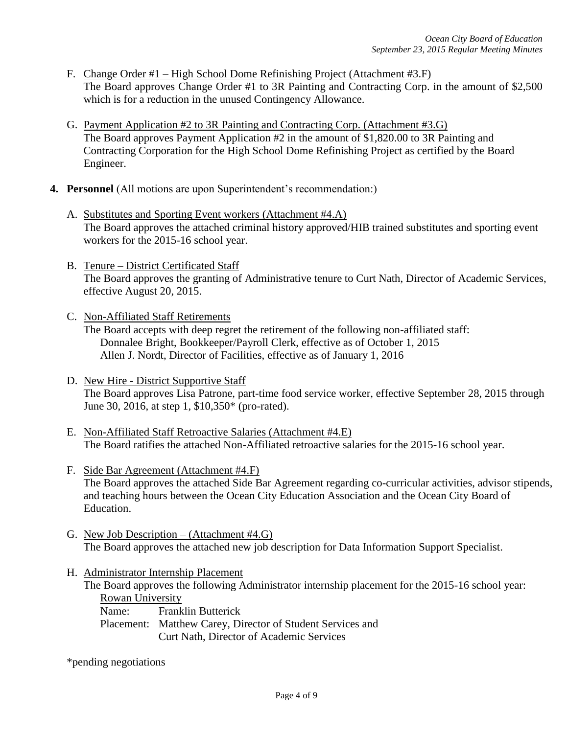- F. Change Order #1 High School Dome Refinishing Project (Attachment #3.F) The Board approves Change Order #1 to 3R Painting and Contracting Corp. in the amount of \$2,500 which is for a reduction in the unused Contingency Allowance.
- G. Payment Application #2 to 3R Painting and Contracting Corp. (Attachment #3.G) The Board approves Payment Application #2 in the amount of \$1,820.00 to 3R Painting and Contracting Corporation for the High School Dome Refinishing Project as certified by the Board Engineer.
- **4. Personnel** (All motions are upon Superintendent's recommendation:)
	- A. Substitutes and Sporting Event workers (Attachment #4.A) The Board approves the attached criminal history approved/HIB trained substitutes and sporting event workers for the 2015-16 school year.
	- B. Tenure District Certificated Staff The Board approves the granting of Administrative tenure to Curt Nath, Director of Academic Services, effective August 20, 2015.
	- C. Non-Affiliated Staff Retirements The Board accepts with deep regret the retirement of the following non-affiliated staff: Donnalee Bright, Bookkeeper/Payroll Clerk, effective as of October 1, 2015 Allen J. Nordt, Director of Facilities, effective as of January 1, 2016
	- D. New Hire District Supportive Staff The Board approves Lisa Patrone, part-time food service worker, effective September 28, 2015 through June 30, 2016, at step 1, \$10,350\* (pro-rated).
	- E. Non-Affiliated Staff Retroactive Salaries (Attachment #4.E) The Board ratifies the attached Non-Affiliated retroactive salaries for the 2015-16 school year.
	- F. Side Bar Agreement (Attachment #4.F) The Board approves the attached Side Bar Agreement regarding co-curricular activities, advisor stipends, and teaching hours between the Ocean City Education Association and the Ocean City Board of Education.
	- G. New Job Description (Attachment #4.G) The Board approves the attached new job description for Data Information Support Specialist.
	- H. Administrator Internship Placement The Board approves the following Administrator internship placement for the 2015-16 school year: Rowan University Name: Franklin Butterick Placement: Matthew Carey, Director of Student Services and Curt Nath, Director of Academic Services

\*pending negotiations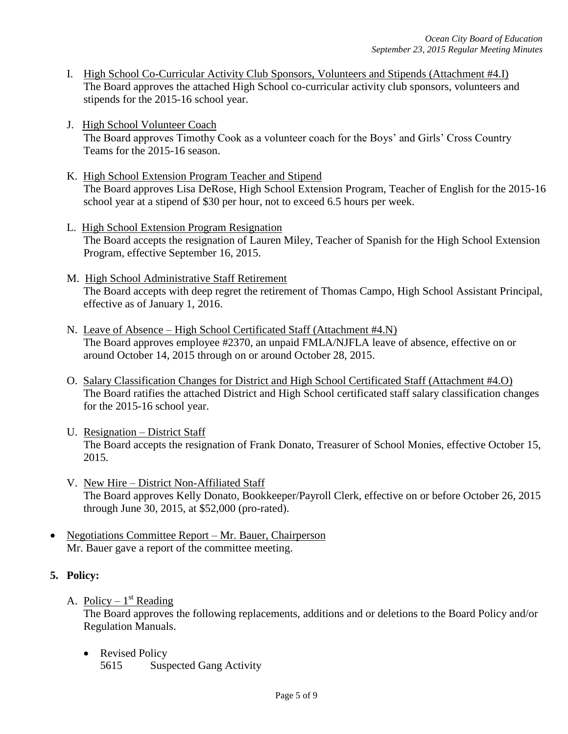- I. High School Co-Curricular Activity Club Sponsors, Volunteers and Stipends (Attachment #4.I) The Board approves the attached High School co-curricular activity club sponsors, volunteers and stipends for the 2015-16 school year.
- J. High School Volunteer Coach The Board approves Timothy Cook as a volunteer coach for the Boys' and Girls' Cross Country Teams for the 2015-16 season.
- K. High School Extension Program Teacher and Stipend The Board approves Lisa DeRose, High School Extension Program, Teacher of English for the 2015-16 school year at a stipend of \$30 per hour, not to exceed 6.5 hours per week.
- L. High School Extension Program Resignation The Board accepts the resignation of Lauren Miley, Teacher of Spanish for the High School Extension Program, effective September 16, 2015.
- M. High School Administrative Staff Retirement The Board accepts with deep regret the retirement of Thomas Campo, High School Assistant Principal, effective as of January 1, 2016.
- N. Leave of Absence High School Certificated Staff (Attachment #4.N) The Board approves employee #2370, an unpaid FMLA/NJFLA leave of absence, effective on or around October 14, 2015 through on or around October 28, 2015.
- O. Salary Classification Changes for District and High School Certificated Staff (Attachment #4.O) The Board ratifies the attached District and High School certificated staff salary classification changes for the 2015-16 school year.
- U. Resignation District Staff The Board accepts the resignation of Frank Donato, Treasurer of School Monies, effective October 15, 2015.
- V. New Hire District Non-Affiliated Staff The Board approves Kelly Donato, Bookkeeper/Payroll Clerk, effective on or before October 26, 2015 through June 30, 2015, at \$52,000 (pro-rated).
- Negotiations Committee Report Mr. Bauer, Chairperson Mr. Bauer gave a report of the committee meeting.

# **5. Policy:**

A. Policy –  $1<sup>st</sup>$  Reading

The Board approves the following replacements, additions and or deletions to the Board Policy and/or Regulation Manuals.

• Revised Policy 5615 Suspected Gang Activity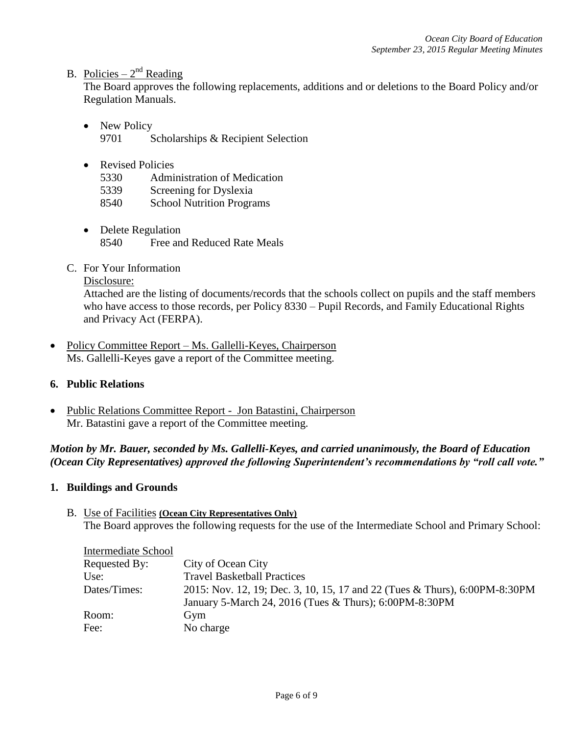# B. Policies –  $2<sup>nd</sup>$  Reading

The Board approves the following replacements, additions and or deletions to the Board Policy and/or Regulation Manuals.

- New Policy 9701 Scholarships & Recipient Selection
- Revised Policies
	- 5330 Administration of Medication
	- 5339 Screening for Dyslexia
	- 8540 School Nutrition Programs
- Delete Regulation 8540 Free and Reduced Rate Meals
- C. For Your Information

Disclosure:

Attached are the listing of documents/records that the schools collect on pupils and the staff members who have access to those records, per Policy 8330 – Pupil Records, and Family Educational Rights and Privacy Act (FERPA).

- Policy Committee Report Ms. Gallelli-Keyes, Chairperson Ms. Gallelli-Keyes gave a report of the Committee meeting.
- **6. Public Relations**
- Public Relations Committee Report Jon Batastini, Chairperson Mr. Batastini gave a report of the Committee meeting.

# *Motion by Mr. Bauer, seconded by Ms. Gallelli-Keyes, and carried unanimously, the Board of Education (Ocean City Representatives) approved the following Superintendent's recommendations by "roll call vote."*

### **1. Buildings and Grounds**

B. Use of Facilities **(Ocean City Representatives Only)** The Board approves the following requests for the use of the Intermediate School and Primary School:

| Intermediate School |                                                                            |
|---------------------|----------------------------------------------------------------------------|
| Requested By:       | City of Ocean City                                                         |
| Use:                | <b>Travel Basketball Practices</b>                                         |
| Dates/Times:        | 2015: Nov. 12, 19; Dec. 3, 10, 15, 17 and 22 (Tues & Thurs), 6:00PM-8:30PM |
|                     | January 5-March 24, 2016 (Tues & Thurs); 6:00PM-8:30PM                     |
| Room:               | Gym                                                                        |
| Fee:                | No charge                                                                  |
|                     |                                                                            |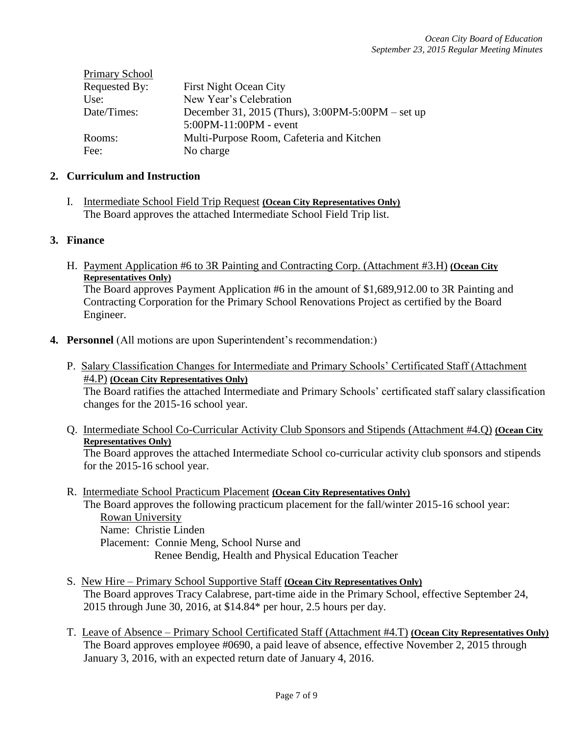| <b>Primary School</b> |                                                       |
|-----------------------|-------------------------------------------------------|
| Requested By:         | <b>First Night Ocean City</b>                         |
| Use:                  | New Year's Celebration                                |
| Date/Times:           | December 31, 2015 (Thurs), $3:00PM - 5:00PM - set up$ |
|                       | $5:00PM-11:00PM - event$                              |
| Rooms:                | Multi-Purpose Room, Cafeteria and Kitchen             |
| Fee:                  | No charge                                             |

### **2. Curriculum and Instruction**

Primary School

I. Intermediate School Field Trip Request **(Ocean City Representatives Only)** The Board approves the attached Intermediate School Field Trip list.

### **3. Finance**

H. Payment Application #6 to 3R Painting and Contracting Corp. (Attachment #3.H) **(Ocean City Representatives Only)** 

The Board approves Payment Application #6 in the amount of \$1,689,912.00 to 3R Painting and Contracting Corporation for the Primary School Renovations Project as certified by the Board Engineer.

- **4. Personnel** (All motions are upon Superintendent's recommendation:)
	- P. Salary Classification Changes for Intermediate and Primary Schools' Certificated Staff (Attachment #4.P) **(Ocean City Representatives Only)** The Board ratifies the attached Intermediate and Primary Schools' certificated staff salary classification changes for the 2015-16 school year.
	- Q. Intermediate School Co-Curricular Activity Club Sponsors and Stipends (Attachment #4.Q) **(Ocean City Representatives Only)** The Board approves the attached Intermediate School co-curricular activity club sponsors and stipends for the 2015-16 school year.
	- R. Intermediate School Practicum Placement **(Ocean City Representatives Only)** The Board approves the following practicum placement for the fall/winter 2015-16 school year: Rowan University Name: Christie Linden Placement: Connie Meng, School Nurse and Renee Bendig, Health and Physical Education Teacher
	- S. New Hire Primary School Supportive Staff **(Ocean City Representatives Only)** The Board approves Tracy Calabrese, part-time aide in the Primary School, effective September 24, 2015 through June 30, 2016, at \$14.84\* per hour, 2.5 hours per day.
	- T. Leave of Absence Primary School Certificated Staff (Attachment #4.T) **(Ocean City Representatives Only)** The Board approves employee #0690, a paid leave of absence, effective November 2, 2015 through January 3, 2016, with an expected return date of January 4, 2016.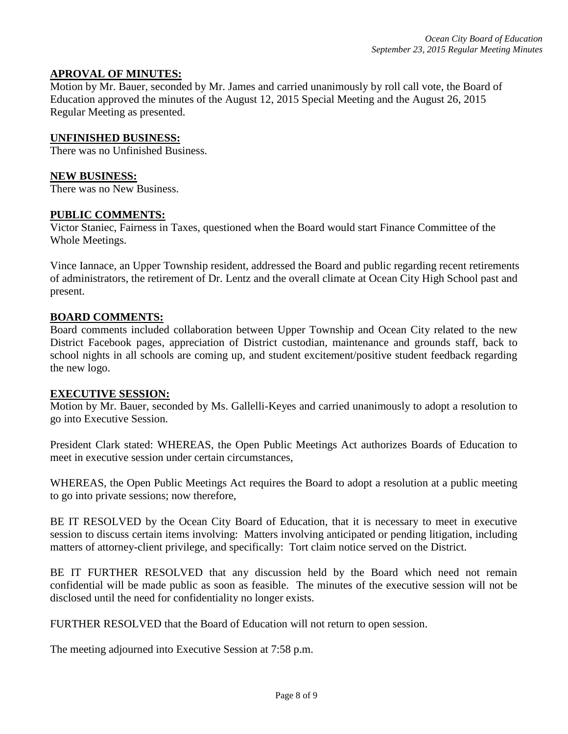### **APROVAL OF MINUTES:**

Motion by Mr. Bauer, seconded by Mr. James and carried unanimously by roll call vote, the Board of Education approved the minutes of the August 12, 2015 Special Meeting and the August 26, 2015 Regular Meeting as presented.

#### **UNFINISHED BUSINESS:**

There was no Unfinished Business.

#### **NEW BUSINESS:**

There was no New Business.

#### **PUBLIC COMMENTS:**

Victor Staniec, Fairness in Taxes, questioned when the Board would start Finance Committee of the Whole Meetings.

Vince Iannace, an Upper Township resident, addressed the Board and public regarding recent retirements of administrators, the retirement of Dr. Lentz and the overall climate at Ocean City High School past and present.

#### **BOARD COMMENTS:**

Board comments included collaboration between Upper Township and Ocean City related to the new District Facebook pages, appreciation of District custodian, maintenance and grounds staff, back to school nights in all schools are coming up, and student excitement/positive student feedback regarding the new logo.

#### **EXECUTIVE SESSION:**

Motion by Mr. Bauer, seconded by Ms. Gallelli-Keyes and carried unanimously to adopt a resolution to go into Executive Session.

President Clark stated: WHEREAS, the Open Public Meetings Act authorizes Boards of Education to meet in executive session under certain circumstances,

WHEREAS, the Open Public Meetings Act requires the Board to adopt a resolution at a public meeting to go into private sessions; now therefore,

BE IT RESOLVED by the Ocean City Board of Education, that it is necessary to meet in executive session to discuss certain items involving: Matters involving anticipated or pending litigation, including matters of attorney-client privilege, and specifically: Tort claim notice served on the District.

BE IT FURTHER RESOLVED that any discussion held by the Board which need not remain confidential will be made public as soon as feasible. The minutes of the executive session will not be disclosed until the need for confidentiality no longer exists.

FURTHER RESOLVED that the Board of Education will not return to open session.

The meeting adjourned into Executive Session at 7:58 p.m.